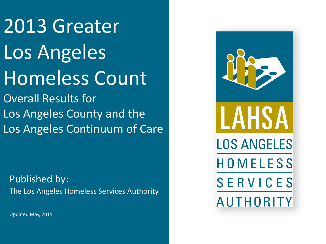2013 Greater Los Angeles Homeless Count Overall Results for

Los Angeles County and the Los Angeles Continuum of Care

Published by: The Los Angeles Homeless Services Authority



Updated May, 2015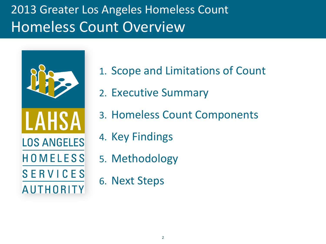# 2013 Greater Los Angeles Homeless Count Homeless Count Overview



- 1. Scope and Limitations of Count
- 2. Executive Summary
- 3. Homeless Count Components
- 4. Key Findings
- 5. Methodology
- 6. Next Steps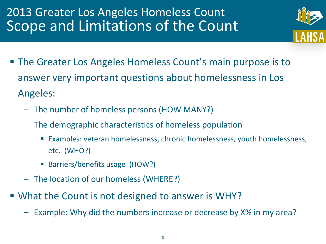# 2013 Greater Los Angeles Homeless Count Scope and Limitations of the Count



- The Greater Los Angeles Homeless Count's main purpose is to answer very important questions about homelessness in Los Angeles:
	- The number of homeless persons (HOW MANY?)
	- The demographic characteristics of homeless population
		- Examples: veteran homelessness, chronic homelessness, youth homelessness, etc. (WHO?)
		- Barriers/benefits usage (HOW?)
	- The location of our homeless (WHERE?)
- **What the Count is not designed to answer is WHY?** 
	- Example: Why did the numbers increase or decrease by X% in my area?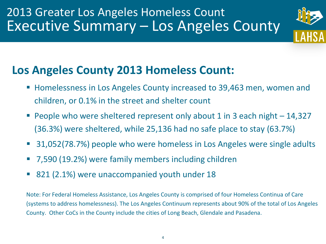### 2013 Greater Los Angeles Homeless Count Executive Summary – Los Angeles County



#### **Los Angeles County 2013 Homeless Count:**

- Homelessness in Los Angeles County increased to 39,463 men, women and children, or 0.1% in the street and shelter count
- **People who were sheltered represent only about 1 in 3 each night**  $-14,327$ (36.3%) were sheltered, while 25,136 had no safe place to stay (63.7%)
- 31,052(78.7%) people who were homeless in Los Angeles were single adults
- 7,590 (19.2%) were family members including children
- 821 (2.1%) were unaccompanied youth under 18

Note: For Federal Homeless Assistance, Los Angeles County is comprised of four Homeless Continua of Care (systems to address homelessness). The Los Angeles Continuum represents about 90% of the total of Los Angeles County. Other CoCs in the County include the cities of Long Beach, Glendale and Pasadena.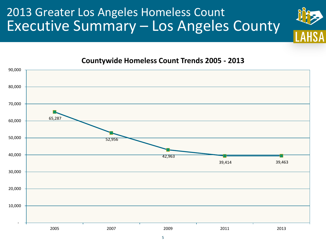### 2013 Greater Los Angeles Homeless Count Executive Summary – Los Angeles County



#### **Countywide Homeless Count Trends 2005 - 2013**

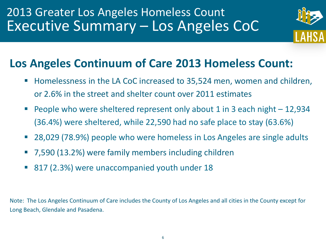

#### **Los Angeles Continuum of Care 2013 Homeless Count:**

- Homelessness in the LA CoC increased to 35,524 men, women and children, or 2.6% in the street and shelter count over 2011 estimates
- People who were sheltered represent only about 1 in 3 each night 12,934 (36.4%) were sheltered, while 22,590 had no safe place to stay (63.6%)
- 28,029 (78.9%) people who were homeless in Los Angeles are single adults
- 7,590 (13.2%) were family members including children
- 817 (2.3%) were unaccompanied youth under 18

Note: The Los Angeles Continuum of Care includes the County of Los Angeles and all cities in the County except for Long Beach, Glendale and Pasadena.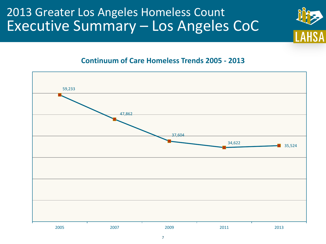#### 2013 Greater Los Angeles Homeless Count Executive Summary – Los Angeles CoC



#### **Continuum of Care Homeless Trends 2005 - 2013**

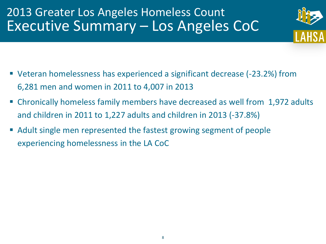# 2013 Greater Los Angeles Homeless Count Executive Summary – Los Angeles CoC



- Veteran homelessness has experienced a significant decrease (-23.2%) from 6,281 men and women in 2011 to 4,007 in 2013
- Chronically homeless family members have decreased as well from 1,972 adults and children in 2011 to 1,227 adults and children in 2013 (-37.8%)
- Adult single men represented the fastest growing segment of people experiencing homelessness in the LA CoC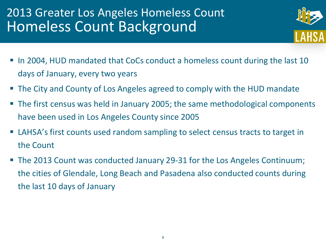# 2013 Greater Los Angeles Homeless Count Homeless Count Background



- In 2004, HUD mandated that CoCs conduct a homeless count during the last 10 days of January, every two years
- The City and County of Los Angeles agreed to comply with the HUD mandate
- The first census was held in January 2005; the same methodological components have been used in Los Angeles County since 2005
- **EXTERS** LAHSA's first counts used random sampling to select census tracts to target in the Count
- The 2013 Count was conducted January 29-31 for the Los Angeles Continuum; the cities of Glendale, Long Beach and Pasadena also conducted counts during the last 10 days of January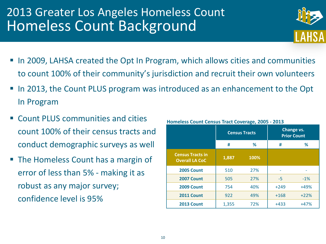# 2013 Greater Los Angeles Homeless Count Homeless Count Background

- 
- In 2009, LAHSA created the Opt In Program, which allows cities and communities to count 100% of their community's jurisdiction and recruit their own volunteers
- In 2013, the Count PLUS program was introduced as an enhancement to the Opt In Program
- Count PLUS communities and cities count 100% of their census tracts and conduct demographic surveys as well
- The Homeless Count has a margin of error of less than 5% - making it as robust as any major survey; confidence level is 95%

|                                                  |       | <b>Census Tracts</b> |        | Change vs.<br><b>Prior Count</b> |
|--------------------------------------------------|-------|----------------------|--------|----------------------------------|
|                                                  | #     | %                    |        | ℅                                |
| <b>Census Tracts in</b><br><b>Overall LA CoC</b> | 1,887 | 100%                 |        |                                  |
| <b>2005 Count</b>                                | 510   | 27%                  |        |                                  |
| <b>2007 Count</b>                                | 505   | 27%                  | -5     | $-1%$                            |
| <b>2009 Count</b>                                | 754   | 40%                  | $+249$ | $+49%$                           |
| <b>2011 Count</b>                                | 922   | 49%                  | $+168$ | $+22%$                           |
| <b>2013 Count</b>                                | 1,355 | 72%                  | $+433$ | $+47%$                           |

#### **Homeless Count Census Tract Coverage, 2005 - 2013**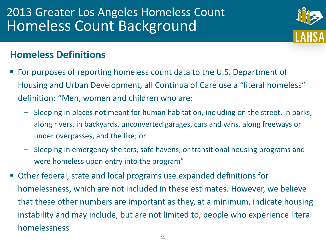# 2013 Greater Los Angeles Homeless Count Homeless Count Background

#### **Homeless Definitions**

- For purposes of reporting homeless count data to the U.S. Department of Housing and Urban Development, all Continua of Care use a "literal homeless" definition: "Men, women and children who are:
	- Sleeping in places not meant for human habitation, including on the street, in parks, along rivers, in backyards, unconverted garages, cars and vans, along freeways or under overpasses, and the like; or
	- Sleeping in emergency shelters, safe havens, or transitional housing programs and were homeless upon entry into the program"
- Other federal, state and local programs use expanded definitions for homelessness, which are not included in these estimates. However, we believe that these other numbers are important as they, at a minimum, indicate housing instability and may include, but are not limited to, people who experience literal homelessness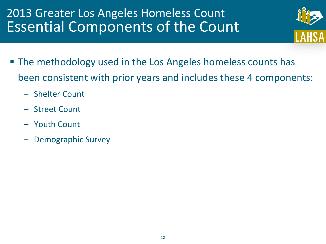# 2013 Greater Los Angeles Homeless Count Essential Components of the Count

- 
- **The methodology used in the Los Angeles homeless counts has** been consistent with prior years and includes these 4 components:
	- Shelter Count
	- Street Count
	- Youth Count
	- Demographic Survey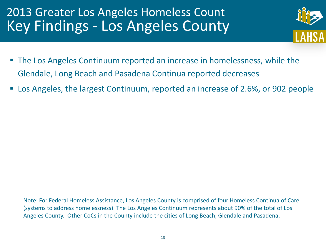

- The Los Angeles Continuum reported an increase in homelessness, while the Glendale, Long Beach and Pasadena Continua reported decreases
- Los Angeles, the largest Continuum, reported an increase of 2.6%, or 902 people

Note: For Federal Homeless Assistance, Los Angeles County is comprised of four Homeless Continua of Care (systems to address homelessness). The Los Angeles Continuum represents about 90% of the total of Los Angeles County. Other CoCs in the County include the cities of Long Beach, Glendale and Pasadena.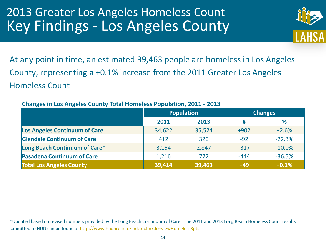

At any point in time, an estimated 39,463 people are homeless in Los Angeles County, representing a +0.1% increase from the 2011 Greater Los Angeles Homeless Count

|                                      |        | Population |        | <b>Changes</b> |
|--------------------------------------|--------|------------|--------|----------------|
|                                      | 2011   | 2013       | #      | ℅              |
| <b>Los Angeles Continuum of Care</b> | 34,622 | 35,524     | $+902$ | $+2.6%$        |
| <b>Glendale Continuum of Care</b>    | 412    | 320        | $-92$  | $-22.3%$       |
| Long Beach Continuum of Care*        | 3,164  | 2,847      | $-317$ | $-10.0%$       |
| <b>Pasadena Continuum of Care</b>    | 1,216  | 772        | $-444$ | $-36.5%$       |
| <b>Total Los Angeles County</b>      | 39,414 | 39,463     | $+49$  | $+0.1%$        |

#### **Changes in Los Angeles County Total Homeless Population, 2011 - 2013**

\*Updated based on revised numbers provided by the Long Beach Continuum of Care. The 2011 and 2013 Long Beach Homeless Count results submitted to HUD can be found at <http://www.hudhre.info/index.cfm?do=viewHomelessRpts>.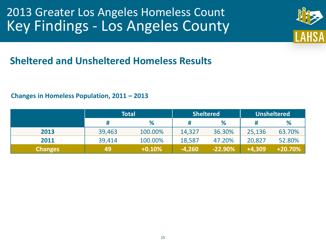

#### **Sheltered and Unsheltered Homeless Results**

#### **Changes in Homeless Population, 2011 – 2013**

|                | <b>Total</b> |          |          | <b>Sheltered</b> | <b>Unsheltered</b> |            |  |
|----------------|--------------|----------|----------|------------------|--------------------|------------|--|
|                | #            | %        |          | %                |                    | %          |  |
| 2013           | 39,463       | 100.00%  | 14,327   | 36.30%           | 25,136             | 63.70%     |  |
| 2011           | 39,414       | 100.00%  | 18,587   | 47.20%           | 20,827             | 52.80%     |  |
| <b>Changes</b> | 49           | $+0.10%$ | $-4,260$ | $-22.90%$        | $+4,309$           | $+20.70\%$ |  |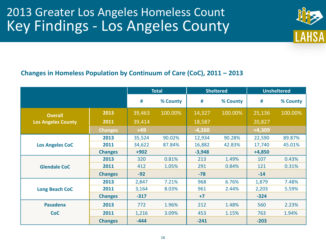

#### **Changes in Homeless Population by Continuum of Care (CoC), 2011 – 2013**

|                           |                |        | <b>Total</b> |          | <b>Sheltered</b> |          | <b>Unsheltered</b> |
|---------------------------|----------------|--------|--------------|----------|------------------|----------|--------------------|
|                           |                | #      | % County     | #        | % County         | #        | % County           |
| <b>Overall</b>            | 2013           | 39,463 | 100.00%      | 14,327   | 100.00%          | 25,136   | 100.00%            |
| <b>Los Angeles County</b> | 2011           | 39,414 |              | 18,587   |                  | 20,827   |                    |
|                           | <b>Changes</b> | $+49$  |              | $-4,260$ |                  | $+4,309$ |                    |
|                           | 2013           | 35,524 | 90.02%       | 12,934   | 90.28%           | 22,590   | 89.87%             |
| <b>Los Angeles CoC</b>    | 2011           | 34,622 | 87.84%       | 16,882   | 42.83%           | 17,740   | 45.01%             |
|                           | <b>Changes</b> | $+902$ |              | $-3,948$ |                  | $+4,850$ |                    |
|                           | 2013           | 320    | 0.81%        | 213      | 1.49%            | 107      | 0.43%              |
| <b>Glendale CoC</b>       | 2011           | 412    | 1.05%        | 291      | 0.84%            | 121      | 0.31%              |
|                           | <b>Changes</b> | $-92$  |              | $-78$    |                  | $-14$    |                    |
|                           | 2013           | 2,847  | 7.21%        | 968      | 6.76%            | 1,879    | 7.48%              |
| <b>Long Beach CoC</b>     | 2011           | 3,164  | 8.03%        | 961      | 2.44%            | 2,203    | 5.59%              |
|                           | <b>Changes</b> | $-317$ |              | $+7$     |                  | $-324$   |                    |
| <b>Pasadena</b>           | 2013           | 772    | 1.96%        | 212      | 1.48%            | 560      | 2.23%              |
| <b>CoC</b>                | 2011           | 1,216  | 3.09%        | 453      | 1.15%            | 763      | 1.94%              |
|                           | <b>Changes</b> | $-444$ |              | $-241$   |                  | $-203$   |                    |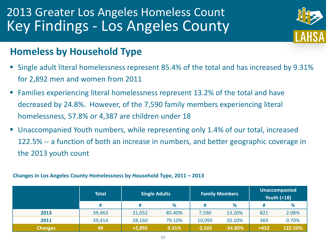

#### **Homeless by Household Type**

- Single adult literal homelessness represent 85.4% of the total and has increased by 9.31% for 2,892 men and women from 2011
- **Families experiencing literal homelessness represent 13.2% of the total and have** decreased by 24.8%. However, of the 7,590 family members experiencing literal homelessness, 57.8% or 4,387 are children under 18
- Unaccompanied Youth numbers, while representing only 1.4% of our total, increased 122.5% -- a function of both an increase in numbers, and better geographic coverage in the 2013 youth count

#### **Changes in Los Angeles County Homelessness by Household Type, 2011 – 2013**

|                | Total  | <b>Single Adults</b> |        |          | <b>Family Members</b> | Unaccompanied<br><b>Youth (&lt;18)</b> |         |  |
|----------------|--------|----------------------|--------|----------|-----------------------|----------------------------------------|---------|--|
|                | #      | #                    | %      |          | ℅                     | #                                      | %       |  |
| 2013           | 39,463 | 31,052               | 85.40% | 7,590    | 13.20%                | 821                                    | 2.08%   |  |
| 2011           | 39,414 | 28,160               | 79.10% | 10,095   | 20.10%                | 369                                    | 0.70%   |  |
| <b>Changes</b> | 49     | $+2,892$             | 9.31%  | $-2,505$ | $-24.80%$             | $+452$                                 | 122.50% |  |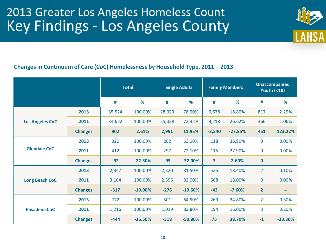

#### **Changes in Continuum of Care (CoC) Homelessness by Household Type, 2011 – 2013**

|                        |                |        | <b>Total</b> |        | <b>Single Adults</b> |                         | <b>Family Members</b> |                | <b>Unaccompanied</b><br><b>Youth (&lt;18)</b> |  |
|------------------------|----------------|--------|--------------|--------|----------------------|-------------------------|-----------------------|----------------|-----------------------------------------------|--|
|                        |                | #      | %            | #      | %                    | #                       | %                     | #              | %                                             |  |
|                        | 2013           | 35,524 | 100.00%      | 28,029 | 78.90%               | 6,678                   | 18.80%                | 817            | 2.29%                                         |  |
| <b>Los Angeles CoC</b> | 2011           | 34,622 | 100.00%      | 25,038 | 72.32%               | 9,218                   | 26.62%                | 366            | 1.06%                                         |  |
|                        | <b>Changes</b> | 902    | 2.61%        | 2,991  | 11.95%               | $-2,540$                | $-27.55%$             | 451            | 123.22%                                       |  |
| <b>Glendale CoC</b>    | 2013           | 320    | 100.00%      | 202    | 63.10%               | 118                     | 36.90%                | $\bf{0}$       | 0.00%                                         |  |
|                        | 2011           | 412    | 100.00%      | 297    | 72.10%               | 115                     | 27.90%                | $\mathbf 0$    | 0.00%                                         |  |
|                        | <b>Changes</b> | $-92$  | $-22.30%$    | $-95$  | $-32.00%$            | $\overline{\mathbf{3}}$ | 2.60%                 | $\bf{0}$       | $\qquad \qquad \blacksquare$                  |  |
|                        | 2013           | 2,847  | 100.00%      | 2,320  | 81.50%               | 525                     | 18.40%                | $\overline{2}$ | 0.10%                                         |  |
| <b>Long Beach CoC</b>  | 2011           | 3,164  | 100.00%      | 2,596  | 82.00%               | 568                     | 18.00%                | $\mathbf 0$    | 0.00%                                         |  |
|                        | <b>Changes</b> | $-317$ | $-10.00\%$   | $-276$ | $-10.60%$            | $-43$                   | $-7.60%$              | $\overline{2}$ | --                                            |  |
|                        | 2013           | 772    | 100.00%      | 501    | 64.90%               | 269                     | 34.80%                | $\overline{2}$ | 0.30%                                         |  |
| Pasadena CoC           | 2011           | 1,216  | 100.00%      | 1,019  | 83.80%               | 194                     | 16.00%                | 3              | 0.20%                                         |  |
|                        | <b>Changes</b> | $-444$ | $-36.50%$    | $-518$ | $-50.80%$            | 75                      | 38.70%                | $-1$           | $-33.30%$                                     |  |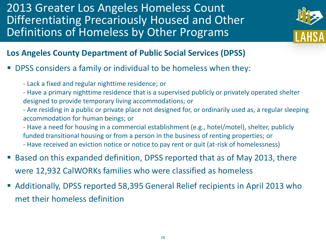2013 Greater Los Angeles Homeless Count Differentiating Precariously Housed and Other Definitions of Homeless by Other Programs



#### **Los Angeles County Department of Public Social Services (DPSS)**

- DPSS considers a family or individual to be homeless when they:
	- Lack a fixed and regular nighttime residence; or
	- Have a primary nighttime residence that is a supervised publicly or privately operated shelter designed to provide temporary living accommodations; or
	- Are residing in a public or private place not designed for, or ordinarily used as, a regular sleeping accommodation for human beings; or
	- Have a need for housing in a commercial establishment (e.g., hotel/motel), shelter, publicly funded transitional housing or from a person in the business of renting properties; or - Have received an eviction notice or notice to pay rent or quit (at-risk of homelessness)
- Based on this expanded definition, DPSS reported that as of May 2013, there were 12,932 CalWORKs families who were classified as homeless
- Additionally, DPSS reported 58,395 General Relief recipients in April 2013 who met their homeless definition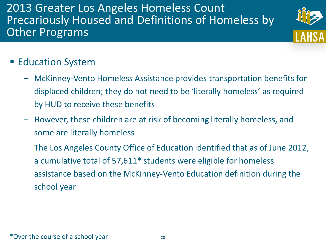2013 Greater Los Angeles Homeless Count Precariously Housed and Definitions of Homeless by **Other Programs** 



#### **Education System**

- McKinney-Vento Homeless Assistance provides transportation benefits for displaced children; they do not need to be 'literally homeless' as required by HUD to receive these benefits
- However, these children are at risk of becoming literally homeless, and some are literally homeless
- The Los Angeles County Office of Education identified that as of June 2012, a cumulative total of 57,611\* students were eligible for homeless assistance based on the McKinney-Vento Education definition during the school year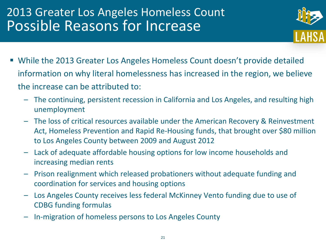

- While the 2013 Greater Los Angeles Homeless Count doesn't provide detailed information on why literal homelessness has increased in the region, we believe the increase can be attributed to:
	- The continuing, persistent recession in California and Los Angeles, and resulting high unemployment
	- The loss of critical resources available under the American Recovery & Reinvestment Act, Homeless Prevention and Rapid Re-Housing funds, that brought over \$80 million to Los Angeles County between 2009 and August 2012
	- Lack of adequate affordable housing options for low income households and increasing median rents
	- Prison realignment which released probationers without adequate funding and coordination for services and housing options
	- Los Angeles County receives less federal McKinney Vento funding due to use of CDBG funding formulas
	- In-migration of homeless persons to Los Angeles County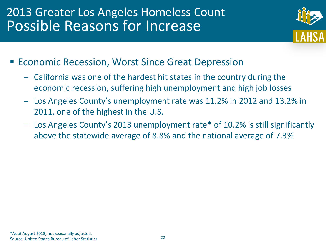

- Economic Recession, Worst Since Great Depression
	- California was one of the hardest hit states in the country during the economic recession, suffering high unemployment and high job losses
	- Los Angeles County's unemployment rate was 11.2% in 2012 and 13.2% in 2011, one of the highest in the U.S.
	- Los Angeles County's 2013 unemployment rate\* of 10.2% is still significantly above the statewide average of 8.8% and the national average of 7.3%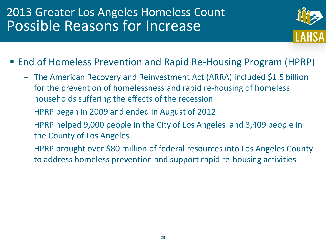

- End of Homeless Prevention and Rapid Re-Housing Program (HPRP)
	- The American Recovery and Reinvestment Act (ARRA) included \$1.5 billion for the prevention of homelessness and rapid re-housing of homeless households suffering the effects of the recession
	- HPRP began in 2009 and ended in August of 2012
	- HPRP helped 9,000 people in the City of Los Angeles and 3,409 people in the County of Los Angeles
	- HPRP brought over \$80 million of federal resources into Los Angeles County to address homeless prevention and support rapid re-housing activities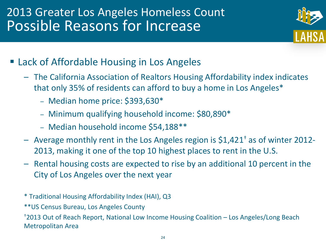

- **Example 2 Fig. 2 Fig. 2 Fig. 2 Fig. 2 Fig. 2 Fig. 2 Fig. 2 Fig. 2 Fig. 2 Fig. 2 Fig. 2 Fig. 2 Fig. 2 Fig. 2 Fig. 2 Fig. 2 Fig. 2 Fig. 2 Fig. 2 Fig. 2 Fig. 2 Fig. 2 Fig. 2 Fig. 2 Fig. 2 Fig. 2 Fig. 2 Fig. 2 Fig. 2 Fig. 2 F** 
	- The California Association of Realtors Housing Affordability index indicates that only 35% of residents can afford to buy a home in Los Angeles\*
		- Median home price: \$393,630\*
		- Minimum qualifying household income: \$80,890\*
		- Median household income \$54,188\*\*
	- Average monthly rent in the Los Angeles region is  $$1,421^{\dagger}$  as of winter 2012-2013, making it one of the top 10 highest places to rent in the U.S.
	- Rental housing costs are expected to rise by an additional 10 percent in the City of Los Angeles over the next year
	- \* Traditional Housing Affordability Index (HAI), Q3
	- \*\*US Census Bureau, Los Angeles County

†2013 Out of Reach Report, National Low Income Housing Coalition – Los Angeles/Long Beach Metropolitan Area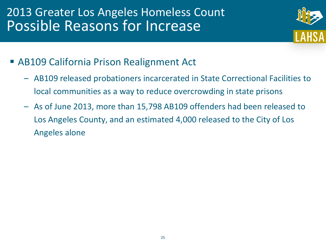

- AB109 California Prison Realignment Act
	- AB109 released probationers incarcerated in State Correctional Facilities to local communities as a way to reduce overcrowding in state prisons
	- As of June 2013, more than 15,798 AB109 offenders had been released to Los Angeles County, and an estimated 4,000 released to the City of Los Angeles alone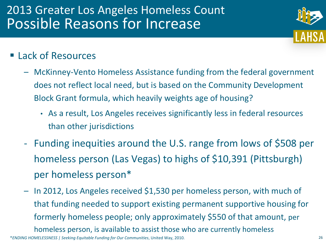

- **Lack of Resources** 
	- McKinney-Vento Homeless Assistance funding from the federal government does not reflect local need, but is based on the Community Development Block Grant formula, which heavily weights age of housing?
		- As a result, Los Angeles receives significantly less in federal resources than other jurisdictions
	- Funding inequities around the U.S. range from lows of \$508 per homeless person (Las Vegas) to highs of \$10,391 (Pittsburgh) per homeless person\*
	- In 2012, Los Angeles received \$1,530 per homeless person, with much of that funding needed to support existing permanent supportive housing for formerly homeless people; only approximately \$550 of that amount, per homeless person, is available to assist those who are currently homeless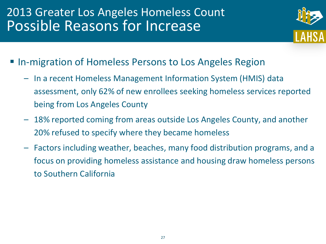

- **In-migration of Homeless Persons to Los Angeles Region** 
	- In a recent Homeless Management Information System (HMIS) data assessment, only 62% of new enrollees seeking homeless services reported being from Los Angeles County
	- 18% reported coming from areas outside Los Angeles County, and another 20% refused to specify where they became homeless
	- Factors including weather, beaches, many food distribution programs, and a focus on providing homeless assistance and housing draw homeless persons to Southern California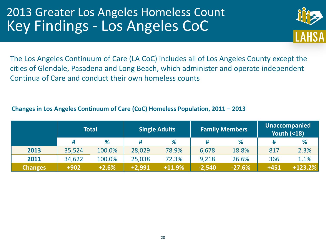

The Los Angeles Continuum of Care (LA CoC) includes all of Los Angeles County except the cities of Glendale, Pasadena and Long Beach, which administer and operate independent Continua of Care and conduct their own homeless counts

#### **Changes in Los Angeles Continuum of Care (CoC) Homeless Population, 2011 – 2013**

|                |        | <b>Total</b> | <b>Single Adults</b> |          |          | <b>Family Members</b> | <b>Unaccompanied</b><br><b>Youth (&lt;18)</b> |           |  |
|----------------|--------|--------------|----------------------|----------|----------|-----------------------|-----------------------------------------------|-----------|--|
|                |        | %            | #                    | %        | #        | %                     | #                                             | %         |  |
| 2013           | 35,524 | 100.0%       | 28,029               | 78.9%    | 6,678    | 18.8%                 | 817                                           | 2.3%      |  |
| 2011           | 34,622 | 100.0%       | 25,038               | 72.3%    | 9,218    | 26.6%                 | 366                                           | 1.1%      |  |
| <b>Changes</b> | $+902$ | $+2.6%$      | $+2,991$             | $+11.9%$ | $-2,540$ | $-27.6%$              | $+451$                                        | $+123.2%$ |  |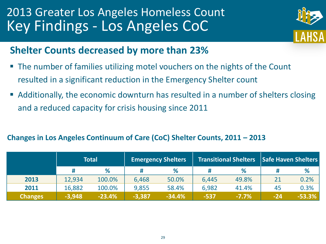

#### **Shelter Counts decreased by more than 23%**

- The number of families utilizing motel vouchers on the nights of the Count resulted in a significant reduction in the Emergency Shelter count
- Additionally, the economic downturn has resulted in a number of shelters closing and a reduced capacity for crisis housing since 2011

#### **Changes in Los Angeles Continuum of Care (CoC) Shelter Counts, 2011 – 2013**

|                | Total    |          |          | <b>Emergency Shelters</b> |              | <b>Transitional Shelters</b> | <b>Safe Haven Shelters</b> |          |  |
|----------------|----------|----------|----------|---------------------------|--------------|------------------------------|----------------------------|----------|--|
|                |          | %        |          | %                         |              | %                            |                            | %        |  |
| 2013           | 12,934   | 100.0%   | 6,468    | 50.0%                     | 6,445        | 49.8%                        |                            | 0.2%     |  |
| 2011           | 16,882   | 100.0%   | 9,855    | 58.4%                     | 6,982        | 41.4%                        | 45                         | 0.3%     |  |
| <b>Changes</b> | $-3,948$ | $-23.4%$ | $-3,387$ | $-34.4%$                  | <b>\-537</b> | $-7.7%$                      | $-24$                      | $-53.3%$ |  |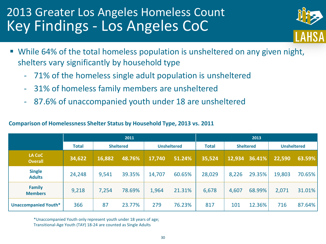

- While 64% of the total homeless population is unsheltered on any given night, shelters vary significantly by household type
	- 71% of the homeless single adult population is unsheltered
	- 31% of homeless family members are unsheltered
	- 87.6% of unaccompanied youth under 18 are unsheltered

#### **Comparison of Homelessness Shelter Status by Household Type, 2013 vs. 2011**

|                                 |              |        | 2011             |        |                    | 2013   |                                  |        |                    |        |
|---------------------------------|--------------|--------|------------------|--------|--------------------|--------|----------------------------------|--------|--------------------|--------|
|                                 | <b>Total</b> |        | <b>Sheltered</b> |        | <b>Unsheltered</b> |        | <b>Total</b><br><b>Sheltered</b> |        | <b>Unsheltered</b> |        |
| LA CoC<br><b>Overall</b>        | 34,622       | 16,882 | 48.76%           | 17,740 | 51.24%             | 35,524 | 12,934                           | 36.41% | 22,590             | 63.59% |
| <b>Single</b><br><b>Adults</b>  | 24,248       | 9,541  | 39.35%           | 14,707 | 60.65%             | 28,029 | 8,226                            | 29.35% | 19,803             | 70.65% |
| <b>Family</b><br><b>Members</b> | 9,218        | 7,254  | 78.69%           | 1,964  | 21.31%             | 6,678  | 4,607                            | 68.99% | 2,071              | 31.01% |
| <b>Unaccompanied Youth*</b>     | 366          | 87     | 23.77%           | 279    | 76.23%             | 817    | 101                              | 12.36% | 716                | 87.64% |

\*Unaccompanied Youth only represent youth under 18 years of age; Transitional-Age Youth (TAY) 18-24 are counted as Single Adults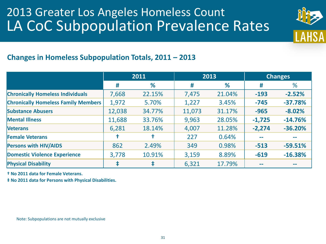#### 2013 Greater Los Angeles Homeless Count LA CoC Subpopulation Prevalence Rates



#### **Changes in Homeless Subpopulation Totals, 2011 – 2013**

|                                            | 2011   |        |        | 2013   |          | <b>Changes</b> |
|--------------------------------------------|--------|--------|--------|--------|----------|----------------|
|                                            | #      | %      | #      | %      | #        | %              |
| <b>Chronically Homeless Individuals</b>    | 7,668  | 22.15% | 7,475  | 21.04% | $-193$   | $-2.52%$       |
| <b>Chronically Homeless Family Members</b> | 1,972  | 5.70%  | 1,227  | 3.45%  | $-745$   | $-37.78%$      |
| <b>Substance Abusers</b>                   | 12,038 | 34.77% | 11,073 | 31.17% | $-965$   | $-8.02%$       |
| <b>Mental Illness</b>                      | 11,688 | 33.76% | 9,963  | 28.05% | $-1,725$ | $-14.76%$      |
| <b>Veterans</b>                            | 6,281  | 18.14% | 4,007  | 11.28% | $-2,274$ | $-36.20%$      |
| <b>Female Veterans</b>                     |        |        | 227    | 0.64%  | $- -$    |                |
| <b>Persons with HIV/AIDS</b>               | 862    | 2.49%  | 349    | 0.98%  | $-513$   | $-59.51%$      |
| <b>Domestic Violence Experience</b>        | 3,778  | 10.91% | 3,159  | 8.89%  | $-619$   | $-16.38%$      |
| <b>Physical Disability</b>                 |        | ŧ      | 6,321  | 17.79% | $- -$    | --             |

**† No 2011 data for Female Veterans.**

**‡ No 2011 data for Persons with Physical Disabilities.**

Note: Subpopulations are not mutually exclusive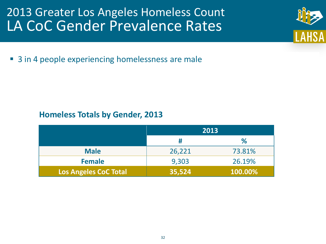#### 2013 Greater Los Angeles Homeless Count LA CoC Gender Prevalence Rates

■ 3 in 4 people experiencing homelessness are male

#### **Homeless Totals by Gender, 2013**

|                              | 2013   |         |
|------------------------------|--------|---------|
|                              | #      | %       |
| <b>Male</b>                  | 26,221 | 73.81%  |
| <b>Female</b>                | 9,303  | 26.19%  |
| <b>Los Angeles CoC Total</b> | 35,524 | 100.00% |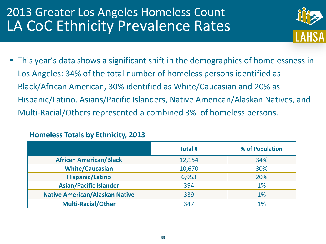# 2013 Greater Los Angeles Homeless Count LA CoC Ethnicity Prevalence Rates



 This year's data shows a significant shift in the demographics of homelessness in Los Angeles: 34% of the total number of homeless persons identified as Black/African American, 30% identified as White/Caucasian and 20% as Hispanic/Latino. Asians/Pacific Islanders, Native American/Alaskan Natives, and Multi-Racial/Others represented a combined 3% of homeless persons.

|  |  |  | <b>Homeless Totals by Ethnicity, 2013</b> |  |
|--|--|--|-------------------------------------------|--|
|--|--|--|-------------------------------------------|--|

|                                       | <b>Total#</b> | % of Population |
|---------------------------------------|---------------|-----------------|
| <b>African American/Black</b>         | 12,154        | 34%             |
| <b>White/Caucasian</b>                | 10,670        | 30%             |
| <b>Hispanic/Latino</b>                | 6,953         | 20%             |
| <b>Asian/Pacific Islander</b>         | 394           | 1%              |
| <b>Native American/Alaskan Native</b> | 339           | $1\%$           |
| <b>Multi-Racial/Other</b>             | 347           | 1%              |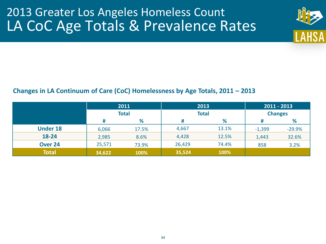# 2013 Greater Los Angeles Homeless Count LA CoC Age Totals & Prevalence Rates



#### **Changes in LA Continuum of Care (CoC) Homelessness by Age Totals, 2011 – 2013**

|                 | 2011<br><b>Total</b> |       | 2013<br><b>Total</b> |       | $2011 - 2013$  |          |
|-----------------|----------------------|-------|----------------------|-------|----------------|----------|
|                 |                      |       |                      |       | <b>Changes</b> |          |
|                 | #                    | %     | #                    | %     | Ħ              | %        |
| <b>Under 18</b> | 6,066                | 17.5% | 4,667                | 13.1% | $-1,399$       | $-29.9%$ |
| 18-24           | 2,985                | 8.6%  | 4,428                | 12.5% | 1,443          | 32.6%    |
| Over 24         | 25,571               | 73.9% | 26,429               | 74.4% | 858            | 3.2%     |
| <b>Total</b>    | 34,622               | 100%  | 35,524               | 100%  |                |          |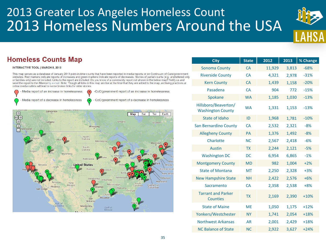# 2013 Greater Los Angeles Homeless Count 2013 Homeless Numbers Around the USA



#### **Homeless Counts Map**

#### **INTERACTIVE TOOL | MARCH 8, 2013**

This map serves as a database of January 2013 point-in-time counts that have been reported in media reports or on Continuum of Care/government websites. Red markers indicate reports of increases and green markers indicate reports of decreases. Stories of partial counts (e.g. unsheltered only or families only) are not included. Links to the report are included. Do you know of a community report not shown in the below map? Notify us and send the report to the Alliance by e-mail. Note: Though all links in this map are live at the time that they are added to the map, archiving practices at online media outlets will lead to some broken links for older stories.

Media report of an increase in homelessness Media report of a decrease in homelessness

-CoC/government report of an increase in homelessness

CoC/government report of a decrease in homelessness



| <b>City</b>                                      | <b>State</b> | 2012   | 2013  | % Change |
|--------------------------------------------------|--------------|--------|-------|----------|
| <b>Sonoma County</b>                             | <b>CA</b>    | 11,929 | 3,813 | $-68%$   |
| <b>Riverside County</b>                          | <b>CA</b>    | 4,321  | 2,978 | $-31%$   |
| <b>Kern County</b>                               | CA           | 1,439  | 1,158 | $-20%$   |
| Pasadena                                         | <b>CA</b>    | 904    | 772   | $-15%$   |
| Spokane                                          | <b>WA</b>    | 1,185  | 1,030 | $-13%$   |
| Hillsboro/Beaverton/<br><b>Washington County</b> | <b>WA</b>    | 1,331  | 1,153 | $-13%$   |
| State of Idaho                                   | ID           | 1,968  | 1,781 | $-10%$   |
| <b>San Bernardino County</b>                     | <b>CA</b>    | 2,532  | 2,321 | $-8%$    |
| <b>Allegheny County</b>                          | <b>PA</b>    | 1,376  | 1,492 | $-8%$    |
| Charlotte                                        | <b>NC</b>    | 2,567  | 2,418 | $-6%$    |
| <b>Austin</b>                                    | <b>TX</b>    | 2,244  | 2,121 | $-5%$    |
| <b>Washington DC</b>                             | <b>DC</b>    | 6,954  | 6,865 | $-1%$    |
| <b>Montgomery County</b>                         | <b>MD</b>    | 982    | 1,004 | $+2%$    |
| <b>State of Montana</b>                          | <b>MT</b>    | 2,250  | 2,328 | $+3%$    |
| <b>New Hampshire State</b>                       | <b>NH</b>    | 2,422  | 2,576 | $+6%$    |
| Sacramento                                       | <b>CA</b>    | 2,358  | 2,538 | $+8%$    |
| <b>Tarrant and Parker</b><br><b>Counties</b>     | <b>TX</b>    | 2,169  | 2,390 | $+10%$   |
| <b>State of Maine</b>                            | <b>ME</b>    | 1,050  | 1,175 | $+12%$   |
| Yonkers/Westchester                              | <b>NY</b>    | 1,741  | 2,054 | $+18%$   |
| <b>Northwest Arkansas</b>                        | <b>AR</b>    | 2,001  | 2,429 | $+18%$   |
| <b>NC Balance of State</b>                       | <b>NC</b>    | 2,922  | 3,627 | $+24%$   |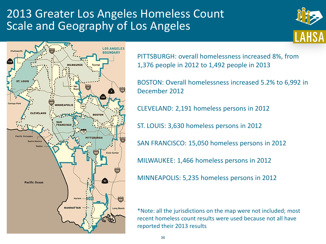#### 2013 Greater Los Angeles Homeless Count Scale and Geography of Los Angeles





PITTSBURGH: overall homelessness increased 8%, from 1,376 people in 2012 to 1,492 people in 2013

BOSTON: Overall homelessness increased 5.2% to 6,992 in December 2012

CLEVELAND: 2,191 homeless persons in 2012

ST. LOUIS: 3,630 homeless persons in 2012

SAN FRANCISCO: 15,050 homeless persons in 2012

MILWAUKEE: 1,466 homeless persons in 2012

MINNEAPOLIS: 5,235 homeless persons in 2012

\*Note: all the jurisdictions on the map were not included; most recent homeless count results were used because not all have reported their 2013 results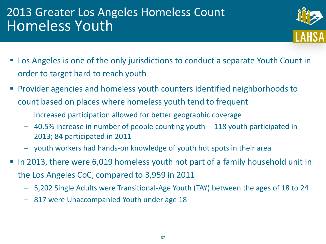### 2013 Greater Los Angeles Homeless Count Homeless Youth



- Los Angeles is one of the only jurisdictions to conduct a separate Youth Count in order to target hard to reach youth
- Provider agencies and homeless youth counters identified neighborhoods to count based on places where homeless youth tend to frequent
	- increased participation allowed for better geographic coverage
	- 40.5% increase in number of people counting youth -- 118 youth participated in 2013; 84 participated in 2011
	- youth workers had hands-on knowledge of youth hot spots in their area
- In 2013, there were 6,019 homeless youth not part of a family household unit in the Los Angeles CoC, compared to 3,959 in 2011
	- 5,202 Single Adults were Transitional-Age Youth (TAY) between the ages of 18 to 24
	- 817 were Unaccompanied Youth under age 18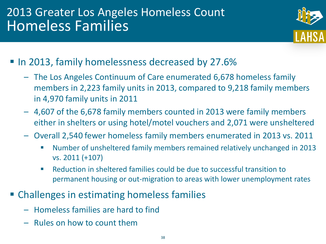# 2013 Greater Los Angeles Homeless Count Homeless Families



- In 2013, family homelessness decreased by 27.6%
	- The Los Angeles Continuum of Care enumerated 6,678 homeless family members in 2,223 family units in 2013, compared to 9,218 family members in 4,970 family units in 2011
	- 4,607 of the 6,678 family members counted in 2013 were family members either in shelters or using hotel/motel vouchers and 2,071 were unsheltered
	- Overall 2,540 fewer homeless family members enumerated in 2013 vs. 2011
		- Number of unsheltered family members remained relatively unchanged in 2013 vs. 2011 (+107)
		- Reduction in sheltered families could be due to successful transition to permanent housing or out-migration to areas with lower unemployment rates
- **Example 1** Challenges in estimating homeless families
	- Homeless families are hard to find
	- Rules on how to count them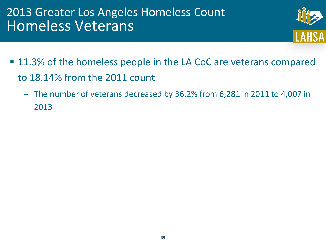### 2013 Greater Los Angeles Homeless Count Homeless Veterans



- 11.3% of the homeless people in the LA CoC are veterans compared to 18.14% from the 2011 count
	- The number of veterans decreased by 36.2% from 6,281 in 2011 to 4,007 in 2013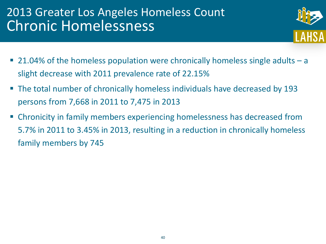### 2013 Greater Los Angeles Homeless Count Chronic Homelessness



- 21.04% of the homeless population were chronically homeless single adults a slight decrease with 2011 prevalence rate of 22.15%
- The total number of chronically homeless individuals have decreased by 193 persons from 7,668 in 2011 to 7,475 in 2013
- Chronicity in family members experiencing homelessness has decreased from 5.7% in 2011 to 3.45% in 2013, resulting in a reduction in chronically homeless family members by 745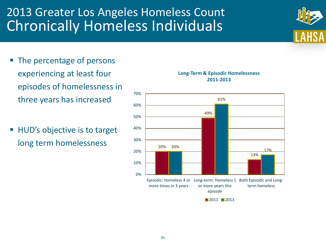# 2013 Greater Los Angeles Homeless Count Chronically Homeless Individuals

- The percentage of persons experiencing at least four episodes of homelessness in three years has increased
- HUD's objective is to target long term homelessness





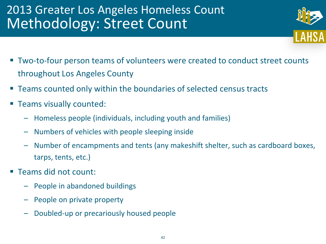# 2013 Greater Los Angeles Homeless Count Methodology: Street Count



- Two-to-four person teams of volunteers were created to conduct street counts throughout Los Angeles County
- Teams counted only within the boundaries of selected census tracts
- Teams visually counted:
	- Homeless people (individuals, including youth and families)
	- Numbers of vehicles with people sleeping inside
	- Number of encampments and tents (any makeshift shelter, such as cardboard boxes, tarps, tents, etc.)
- Teams did not count:
	- People in abandoned buildings
	- People on private property
	- Doubled-up or precariously housed people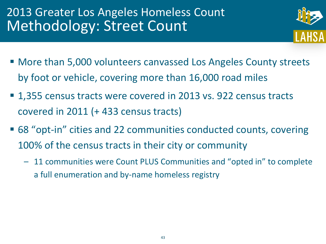# 2013 Greater Los Angeles Homeless Count Methodology: Street Count



- More than 5,000 volunteers canvassed Los Angeles County streets by foot or vehicle, covering more than 16,000 road miles
- 1,355 census tracts were covered in 2013 vs. 922 census tracts covered in 2011 (+ 433 census tracts)
- 68 "opt-in" cities and 22 communities conducted counts, covering 100% of the census tracts in their city or community
	- 11 communities were Count PLUS Communities and "opted in" to complete a full enumeration and by-name homeless registry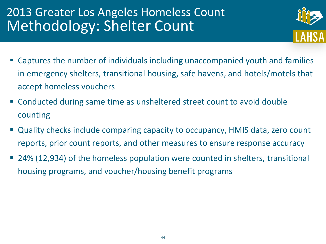# 2013 Greater Los Angeles Homeless Count Methodology: Shelter Count



- Captures the number of individuals including unaccompanied youth and families in emergency shelters, transitional housing, safe havens, and hotels/motels that accept homeless vouchers
- Conducted during same time as unsheltered street count to avoid double counting
- Quality checks include comparing capacity to occupancy, HMIS data, zero count reports, prior count reports, and other measures to ensure response accuracy
- 24% (12,934) of the homeless population were counted in shelters, transitional housing programs, and voucher/housing benefit programs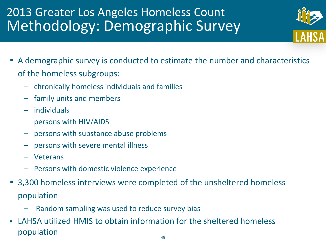# 2013 Greater Los Angeles Homeless Count Methodology: Demographic Survey

- 
- A demographic survey is conducted to estimate the number and characteristics of the homeless subgroups:
	- chronically homeless individuals and families
	- family units and members
	- individuals
	- persons with HIV/AIDS
	- persons with substance abuse problems
	- persons with severe mental illness
	- Veterans
	- Persons with domestic violence experience
- 3,300 homeless interviews were completed of the unsheltered homeless population
	- Random sampling was used to reduce survey bias
- LAHSA utilized HMIS to obtain information for the sheltered homeless population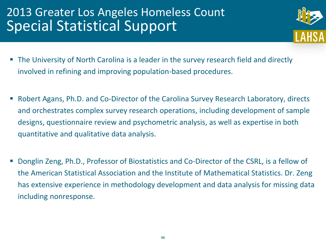# 2013 Greater Los Angeles Homeless Count Special Statistical Support



- The University of North Carolina is a leader in the survey research field and directly involved in refining and improving population-based procedures.
- Robert Agans, Ph.D. and Co-Director of the Carolina Survey Research Laboratory, directs and orchestrates complex survey research operations, including development of sample designs, questionnaire review and psychometric analysis, as well as expertise in both quantitative and qualitative data analysis.
- Donglin Zeng, Ph.D., Professor of Biostatistics and Co-Director of the CSRL, is a fellow of the American Statistical Association and the Institute of Mathematical Statistics. Dr. Zeng has extensive experience in methodology development and data analysis for missing data including nonresponse.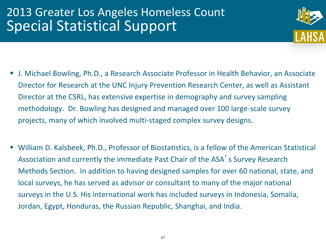## 2013 Greater Los Angeles Homeless Count Special Statistical Support



- J. Michael Bowling, Ph.D., a Research Associate Professor in Health Behavior, an Associate Director for Research at the UNC Injury Prevention Research Center, as well as Assistant Director at the CSRL, has extensive expertise in demography and survey sampling methodology. Dr. Bowling has designed and managed over 100 large-scale survey projects, many of which involved multi-staged complex survey designs.
- William D. Kalsbeek, Ph.D., Professor of Biostatistics, is a fellow of the American Statistical Association and currently the immediate Past Chair of the ASA's Survey Research Methods Section. In addition to having designed samples for over 60 national, state, and local surveys, he has served as advisor or consultant to many of the major national surveys in the U.S. His international work has included surveys in Indonesia, Somalia, Jordan, Egypt, Honduras, the Russian Republic, Shanghai, and India.